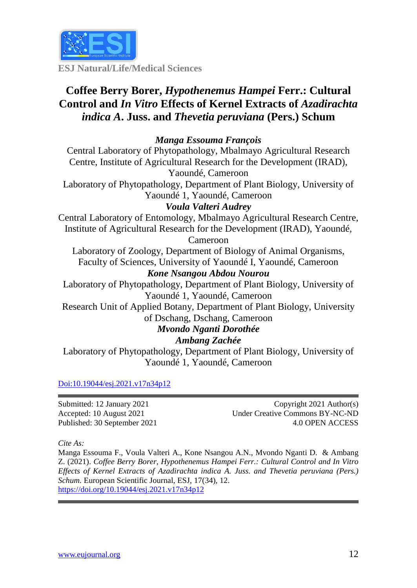

**ESJ Natural/Life/Medical Sciences**

## **Coffee Berry Borer,** *Hypothenemus Hampei* **Ferr.: Cultural Control and** *In Vitro* **Effects of Kernel Extracts of** *Azadirachta indica A***. Juss. and** *Thevetia peruviana* **(Pers.) Schum**

#### *Manga Essouma François*

Central Laboratory of Phytopathology, Mbalmayo Agricultural Research Centre, Institute of Agricultural Research for the Development (IRAD), Yaoundé, Cameroon

Laboratory of Phytopathology, Department of Plant Biology, University of Yaoundé 1, Yaoundé, Cameroon

#### *Voula Valteri Audrey*

Central Laboratory of Entomology, Mbalmayo Agricultural Research Centre, Institute of Agricultural Research for the Development (IRAD), Yaoundé,

Cameroon

Laboratory of Zoology, Department of Biology of Animal Organisms, Faculty of Sciences, University of Yaoundé I, Yaoundé, Cameroon *Kone Nsangou Abdou Nourou* 

Laboratory of Phytopathology, Department of Plant Biology, University of Yaoundé 1, Yaoundé, Cameroon

Research Unit of Applied Botany, Department of Plant Biology, University

of Dschang, Dschang, Cameroon *Mvondo Nganti Dorothée*

# *Ambang Zachée*

Laboratory of Phytopathology, Department of Plant Biology, University of Yaoundé 1, Yaoundé, Cameroon

[Doi:10.19044/esj.2021.v17n34p12](https://doi.org/10.19044/esj.2021.v17n29p1)

Submitted: 12 January 2021 Accepted: 10 August 2021 Published: 30 September 2021

Copyright 2021 Author(s) Under Creative Commons BY-NC-ND 4.0 OPEN ACCESS

*Cite As:*

Manga Essouma F., Voula Valteri A., Kone Nsangou A.N., Mvondo Nganti D. & Ambang Z. (2021). *Coffee Berry Borer, Hypothenemus Hampei Ferr.: Cultural Control and In Vitro Effects of Kernel Extracts of Azadirachta indica A. Juss. and Thevetia peruviana (Pers.) Schum.* European Scientific Journal, ESJ, 17(34), 12. <https://doi.org/10.19044/esj.2021.v17n34p12>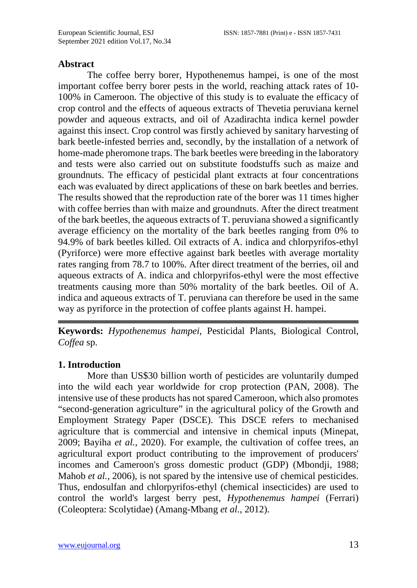#### **Abstract**

The coffee berry borer, Hypothenemus hampei, is one of the most important coffee berry borer pests in the world, reaching attack rates of 10- 100% in Cameroon. The objective of this study is to evaluate the efficacy of crop control and the effects of aqueous extracts of Thevetia peruviana kernel powder and aqueous extracts, and oil of Azadirachta indica kernel powder against this insect. Crop control was firstly achieved by sanitary harvesting of bark beetle-infested berries and, secondly, by the installation of a network of home-made pheromone traps. The bark beetles were breeding in the laboratory and tests were also carried out on substitute foodstuffs such as maize and groundnuts. The efficacy of pesticidal plant extracts at four concentrations each was evaluated by direct applications of these on bark beetles and berries. The results showed that the reproduction rate of the borer was 11 times higher with coffee berries than with maize and groundnuts. After the direct treatment of the bark beetles, the aqueous extracts of T. peruviana showed a significantly average efficiency on the mortality of the bark beetles ranging from 0% to 94.9% of bark beetles killed. Oil extracts of A. indica and chlorpyrifos-ethyl (Pyriforce) were more effective against bark beetles with average mortality rates ranging from 78.7 to 100%. After direct treatment of the berries, oil and aqueous extracts of A. indica and chlorpyrifos-ethyl were the most effective treatments causing more than 50% mortality of the bark beetles. Oil of A. indica and aqueous extracts of T. peruviana can therefore be used in the same way as pyriforce in the protection of coffee plants against H. hampei.

**Keywords:** *Hypothenemus hampei*, Pesticidal Plants, Biological Control, *Coffea* sp.

#### **1. Introduction**

More than US\$30 billion worth of pesticides are voluntarily dumped into the wild each year worldwide for crop protection (PAN, 2008). The intensive use of these products has not spared Cameroon, which also promotes "second-generation agriculture" in the agricultural policy of the Growth and Employment Strategy Paper (DSCE). This DSCE refers to mechanised agriculture that is commercial and intensive in chemical inputs (Minepat, 2009; Bayiha *et al.*, 2020). For example, the cultivation of coffee trees, an agricultural export product contributing to the improvement of producers' incomes and Cameroon's gross domestic product (GDP) (Mbondji, 1988; Mahob *et al.*, 2006), is not spared by the intensive use of chemical pesticides. Thus, endosulfan and chlorpyrifos-ethyl (chemical insecticides) are used to control the world's largest berry pest, *Hypothenemus hampei* (Ferrari) (Coleoptera: Scolytidae) (Amang-Mbang *et al.*, 2012).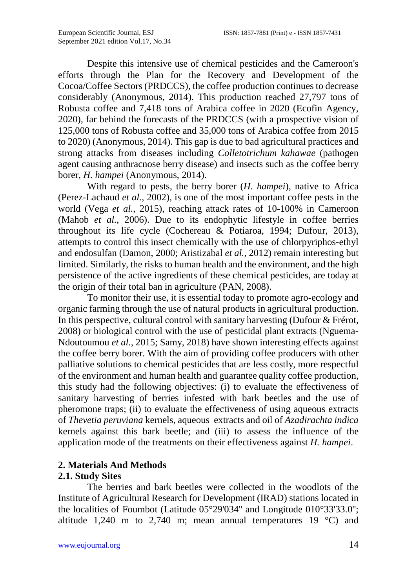Despite this intensive use of chemical pesticides and the Cameroon's efforts through the Plan for the Recovery and Development of the Cocoa/Coffee Sectors (PRDCCS), the coffee production continues to decrease considerably (Anonymous, 2014). This production reached 27,797 tons of Robusta coffee and 7,418 tons of Arabica coffee in 2020 (Ecofin Agency, 2020), far behind the forecasts of the PRDCCS (with a prospective vision of 125,000 tons of Robusta coffee and 35,000 tons of Arabica coffee from 2015 to 2020) (Anonymous, 2014). This gap is due to bad agricultural practices and strong attacks from diseases including *Colletotrichum kahawae* (pathogen agent causing anthracnose berry disease) and insects such as the coffee berry borer, *H. hampei* (Anonymous, 2014).

With regard to pests, the berry borer (*H. hampei*), native to Africa (Perez-Lachaud *et al.*, 2002), is one of the most important coffee pests in the world (Vega *et al.*, 2015), reaching attack rates of 10-100% in Cameroon (Mahob *et al.*, 2006). Due to its endophytic lifestyle in coffee berries throughout its life cycle (Cochereau & Potiaroa, 1994; Dufour, 2013), attempts to control this insect chemically with the use of chlorpyriphos-ethyl and endosulfan (Damon, 2000; Aristizabal *et al.*, 2012) remain interesting but limited. Similarly, the risks to human health and the environment, and the high persistence of the active ingredients of these chemical pesticides, are today at the origin of their total ban in agriculture (PAN, 2008).

To monitor their use, it is essential today to promote agro-ecology and organic farming through the use of natural products in agricultural production. In this perspective, cultural control with sanitary harvesting (Dufour & Frérot, 2008) or biological control with the use of pesticidal plant extracts (Nguema-Ndoutoumou *et al.*, 2015; Samy, 2018) have shown interesting effects against the coffee berry borer. With the aim of providing coffee producers with other palliative solutions to chemical pesticides that are less costly, more respectful of the environment and human health and guarantee quality coffee production, this study had the following objectives: (i) to evaluate the effectiveness of sanitary harvesting of berries infested with bark beetles and the use of pheromone traps; (ii) to evaluate the effectiveness of using aqueous extracts of *Thevetia peruviana* kernels, aqueous extracts and oil of *Azadirachta indica* kernels against this bark beetle; and (iii) to assess the influence of the application mode of the treatments on their effectiveness against *H. hampei*.

## **2. Materials And Methods**

## **2.1. Study Sites**

The berries and bark beetles were collected in the woodlots of the Institute of Agricultural Research for Development (IRAD) stations located in the localities of Foumbot (Latitude 05°29'034'' and Longitude 010°33'33.0''; altitude 1,240 m to 2,740 m; mean annual temperatures 19  $^{\circ}$ C) and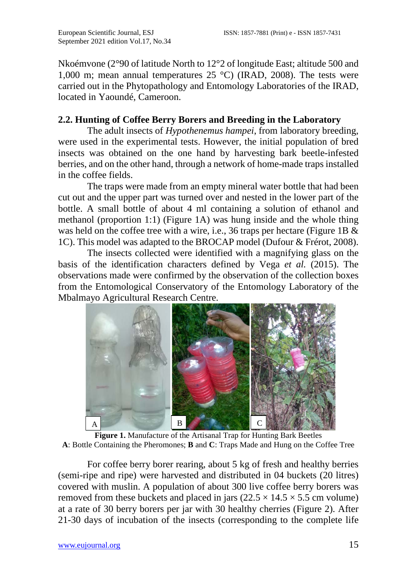Nkoémvone (2°90 of latitude North to 12°2 of longitude East; altitude 500 and 1,000 m; mean annual temperatures  $25^{\circ}$ C) (IRAD, 2008). The tests were carried out in the Phytopathology and Entomology Laboratories of the IRAD, located in Yaoundé, Cameroon.

### **2.2. Hunting of Coffee Berry Borers and Breeding in the Laboratory**

The adult insects of *Hypothenemus hampei*, from laboratory breeding, were used in the experimental tests. However, the initial population of bred insects was obtained on the one hand by harvesting bark beetle-infested berries, and on the other hand, through a network of home-made traps installed in the coffee fields.

The traps were made from an empty mineral water bottle that had been cut out and the upper part was turned over and nested in the lower part of the bottle. A small bottle of about 4 ml containing a solution of ethanol and methanol (proportion 1:1) (Figure 1A) was hung inside and the whole thing was held on the coffee tree with a wire, i.e., 36 traps per hectare (Figure 1B & 1C). This model was adapted to the BROCAP model (Dufour & Frérot, 2008).

The insects collected were identified with a magnifying glass on the basis of the identification characters defined by Vega *et al.* (2015). The observations made were confirmed by the observation of the collection boxes from the Entomological Conservatory of the Entomology Laboratory of the Mbalmayo Agricultural Research Centre.



**Figure 1.** Manufacture of the Artisanal Trap for Hunting Bark Beetles **A**: Bottle Containing the Pheromones; **B** and **C**: Traps Made and Hung on the Coffee Tree

For coffee berry borer rearing, about 5 kg of fresh and healthy berries (semi-ripe and ripe) were harvested and distributed in 04 buckets (20 litres) covered with muslin. A population of about 300 live coffee berry borers was removed from these buckets and placed in jars  $(22.5 \times 14.5 \times 5.5 \text{ cm}$  volume) at a rate of 30 berry borers per jar with 30 healthy cherries (Figure 2). After 21-30 days of incubation of the insects (corresponding to the complete life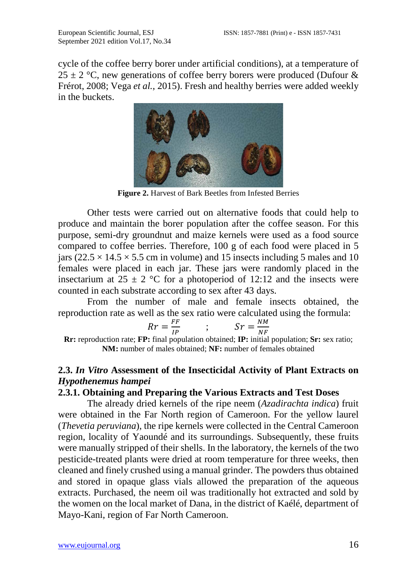cycle of the coffee berry borer under artificial conditions), at a temperature of  $25 \pm 2$  °C, new generations of coffee berry borers were produced (Dufour & Frérot, 2008; Vega *et al.*, 2015). Fresh and healthy berries were added weekly in the buckets.



**Figure 2.** Harvest of Bark Beetles from Infested Berries

Other tests were carried out on alternative foods that could help to produce and maintain the borer population after the coffee season. For this purpose, semi-dry groundnut and maize kernels were used as a food source compared to coffee berries. Therefore, 100 g of each food were placed in 5 jars ( $22.5 \times 14.5 \times 5.5$  cm in volume) and 15 insects including 5 males and 10 females were placed in each jar. These jars were randomly placed in the insectarium at  $25 \pm 2$  °C for a photoperiod of 12:12 and the insects were counted in each substrate according to sex after 43 days.

From the number of male and female insects obtained, the reproduction rate as well as the sex ratio were calculated using the formula:

$$
Rr = \frac{FF}{IP} \qquad ; \qquad Sr = \frac{NM}{NF}
$$

 $Rr = \frac{FF}{IP}$ ;  $Sr = \frac{NM}{NF}$ <br>**Rr:** reproduction rate; **FP:** final population obtained; **IP:** initial population; **Sr:** sex ratio; **NM:** number of males obtained; **NF:** number of females obtained

## **2.3.** *In Vitro* **Assessment of the Insecticidal Activity of Plant Extracts on**  *Hypothenemus hampei*

#### **2.3.1. Obtaining and Preparing the Various Extracts and Test Doses**

The already dried kernels of the ripe neem (*Azadirachta indica*) fruit were obtained in the Far North region of Cameroon. For the yellow laurel (*Thevetia peruviana*), the ripe kernels were collected in the Central Cameroon region, locality of Yaoundé and its surroundings. Subsequently, these fruits were manually stripped of their shells. In the laboratory, the kernels of the two pesticide-treated plants were dried at room temperature for three weeks, then cleaned and finely crushed using a manual grinder. The powders thus obtained and stored in opaque glass vials allowed the preparation of the aqueous extracts. Purchased, the neem oil was traditionally hot extracted and sold by the women on the local market of Dana, in the district of Kaélé, department of Mayo-Kani, region of Far North Cameroon.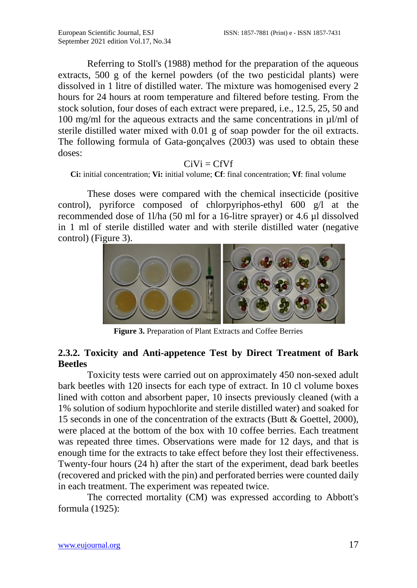Referring to Stoll's (1988) method for the preparation of the aqueous extracts, 500 g of the kernel powders (of the two pesticidal plants) were dissolved in 1 litre of distilled water. The mixture was homogenised every 2 hours for 24 hours at room temperature and filtered before testing. From the stock solution, four doses of each extract were prepared, i.e., 12.5, 25, 50 and 100 mg/ml for the aqueous extracts and the same concentrations in µl/ml of sterile distilled water mixed with 0.01 g of soap powder for the oil extracts. The following formula of Gata-gonçalves (2003) was used to obtain these doses:

#### $C<sub>i</sub>Vi = CfVf$

**Ci:** initial concentration; **Vi:** initial volume; **Cf**: final concentration; **Vf**: final volume

These doses were compared with the chemical insecticide (positive control), pyriforce composed of chlorpyriphos-ethyl 600 g/l at the recommended dose of 1l/ha (50 ml for a 16-litre sprayer) or 4.6 µl dissolved in 1 ml of sterile distilled water and with sterile distilled water (negative control) (Figure 3).



**Figure 3.** Preparation of Plant Extracts and Coffee Berries

#### **2.3.2. Toxicity and Anti-appetence Test by Direct Treatment of Bark Beetles**

Toxicity tests were carried out on approximately 450 non-sexed adult bark beetles with 120 insects for each type of extract. In 10 cl volume boxes lined with cotton and absorbent paper, 10 insects previously cleaned (with a 1% solution of sodium hypochlorite and sterile distilled water) and soaked for 15 seconds in one of the concentration of the extracts (Butt & Goettel, 2000), were placed at the bottom of the box with 10 coffee berries. Each treatment was repeated three times. Observations were made for 12 days, and that is enough time for the extracts to take effect before they lost their effectiveness. Twenty-four hours (24 h) after the start of the experiment, dead bark beetles (recovered and pricked with the pin) and perforated berries were counted daily in each treatment. The experiment was repeated twice.

The corrected mortality (CM) was expressed according to Abbott's formula (1925):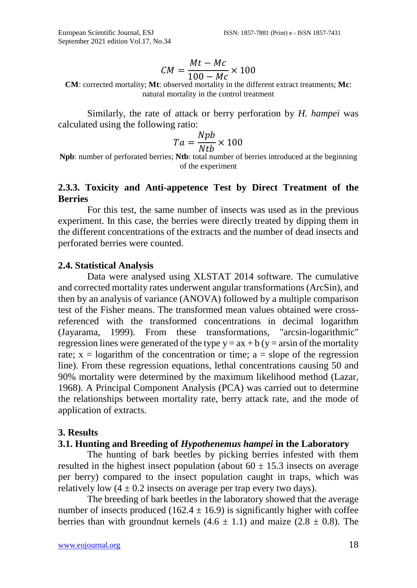$$
CM = \frac{Mt - Mc}{100 - Mc} \times 100
$$

 $100 - Mc$ <br>**CM**: corrected mortality; **Mt**: observed mortality in the different extract treatments; **Mc**: natural mortality in the control treatment

Similarly, the rate of attack or berry perforation by *H. hampei* was calculated using the following ratio:

$$
Ta = \frac{Npb}{Ntb} \times 100
$$

 $T a = \frac{V}{N t b} \times 100$ <br>**Npb**: number of perforated berries; **Ntb**: total number of berries introduced at the beginning of the experiment

#### **2.3.3. Toxicity and Anti-appetence Test by Direct Treatment of the Berries**

For this test, the same number of insects was used as in the previous experiment. In this case, the berries were directly treated by dipping them in the different concentrations of the extracts and the number of dead insects and perforated berries were counted.

#### **2.4. Statistical Analysis**

Data were analysed using XLSTAT 2014 software. The cumulative and corrected mortality rates underwent angular transformations (ArcSin), and then by an analysis of variance (ANOVA) followed by a multiple comparison test of the Fisher means. The transformed mean values obtained were crossreferenced with the transformed concentrations in decimal logarithm (Jayarama, 1999). From these transformations, "arcsin-logarithmic" regression lines were generated of the type  $y = ax + b$  (y = arsin of the mortality rate;  $x =$  logarithm of the concentration or time;  $a =$  slope of the regression line). From these regression equations, lethal concentrations causing 50 and 90% mortality were determined by the maximum likelihood method (Lazar, 1968). A Principal Component Analysis (PCA) was carried out to determine the relationships between mortality rate, berry attack rate, and the mode of application of extracts.

#### **3. Results**

#### **3.1. Hunting and Breeding of** *Hypothenemus hampei* **in the Laboratory**

The hunting of bark beetles by picking berries infested with them resulted in the highest insect population (about  $60 \pm 15.3$  insects on average per berry) compared to the insect population caught in traps, which was relatively low  $(4 \pm 0.2)$  insects on average per trap every two days).

The breeding of bark beetles in the laboratory showed that the average number of insects produced (162.4  $\pm$  16.9) is significantly higher with coffee berries than with groundnut kernels  $(4.6 \pm 1.1)$  and maize  $(2.8 \pm 0.8)$ . The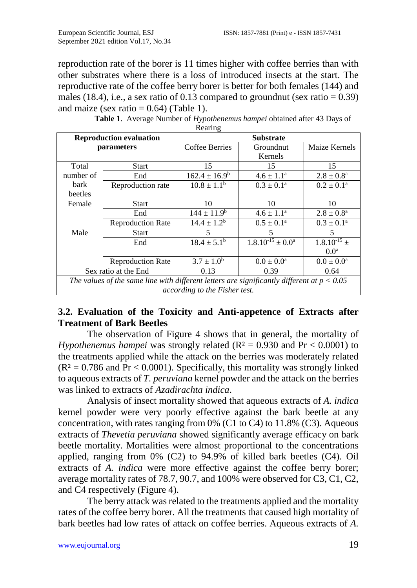reproduction rate of the borer is 11 times higher with coffee berries than with other substrates where there is a loss of introduced insects at the start. The reproductive rate of the coffee berry borer is better for both females (144) and males (18.4), i.e., a sex ratio of 0.13 compared to groundnut (sex ratio =  $0.39$ ) and maize (sex ratio  $= 0.64$ ) (Table 1).

| <b>Reproduction evaluation</b>                                                               |                          | <b>Substrate</b>       |                          |                          |
|----------------------------------------------------------------------------------------------|--------------------------|------------------------|--------------------------|--------------------------|
| parameters                                                                                   |                          | <b>Coffee Berries</b>  | Groundnut                | Maize Kernels            |
|                                                                                              |                          |                        | Kernels                  |                          |
| Total                                                                                        | <b>Start</b>             | 15                     | 15                       | 15                       |
| number of                                                                                    | End                      | $162.4 \pm 16.9^b$     | $4.6 \pm 1.1^a$          | $2.8 \pm 0.8^{\rm a}$    |
| bark                                                                                         | Reproduction rate        | $10.8 \pm 1.1^{\rm b}$ | $0.3 \pm 0.1^{\text{a}}$ | $0.2 \pm 0.1^{\text{a}}$ |
| beetles                                                                                      |                          |                        |                          |                          |
| Female                                                                                       | Start                    | 10                     | 10                       | 10                       |
|                                                                                              | End                      | $144 \pm 11.9^b$       | $4.6 \pm 1.1^a$          | $2.8 \pm 0.8^{\rm a}$    |
|                                                                                              | <b>Reproduction Rate</b> | $14.4 \pm 1.2^b$       | $0.5 \pm 0.1^{\text{a}}$ | $0.3 \pm 0.1^{\text{a}}$ |
| Male                                                                                         | <b>Start</b>             | 5                      | 5                        | 5                        |
|                                                                                              | End                      | $18.4 \pm 5.1^{\rm b}$ | $1.8.10^{-15} \pm 0.0^a$ | $1.8.10^{-15}$ ±         |
|                                                                                              |                          |                        |                          | 0.0 <sup>a</sup>         |
|                                                                                              | <b>Reproduction Rate</b> | $3.7 \pm 1.0^b$        | $0.0 \pm 0.0^{\rm a}$    | $0.0 \pm 0.0^{\text{a}}$ |
| Sex ratio at the End                                                                         |                          | 0.13                   | 0.39                     | 0.64                     |
| The values of the same line with different letters are significantly different at $p < 0.05$ |                          |                        |                          |                          |
| according to the Fisher test.                                                                |                          |                        |                          |                          |

| Table 1. Average Number of <i>Hypothenemus hampei</i> obtained after 43 Days of |
|---------------------------------------------------------------------------------|
| Rearing                                                                         |

## **3.2. Evaluation of the Toxicity and Anti-appetence of Extracts after Treatment of Bark Beetles**

The observation of Figure 4 shows that in general, the mortality of *Hypothenemus hampei* was strongly related ( $R^2 = 0.930$  and  $Pr < 0.0001$ ) to the treatments applied while the attack on the berries was moderately related  $(R<sup>2</sup> = 0.786$  and Pr < 0.0001). Specifically, this mortality was strongly linked to aqueous extracts of *T. peruviana* kernel powder and the attack on the berries was linked to extracts of *Azadirachta indica*.

Analysis of insect mortality showed that aqueous extracts of *A. indica* kernel powder were very poorly effective against the bark beetle at any concentration, with rates ranging from 0% (C1 to C4) to 11.8% (C3). Aqueous extracts of *Thevetia peruviana* showed significantly average efficacy on bark beetle mortality. Mortalities were almost proportional to the concentrations applied, ranging from 0% (C2) to 94.9% of killed bark beetles (C4). Oil extracts of *A. indica* were more effective against the coffee berry borer; average mortality rates of 78.7, 90.7, and 100% were observed for C3, C1, C2, and C4 respectively (Figure 4).

The berry attack was related to the treatments applied and the mortality rates of the coffee berry borer. All the treatments that caused high mortality of bark beetles had low rates of attack on coffee berries. Aqueous extracts of *A.*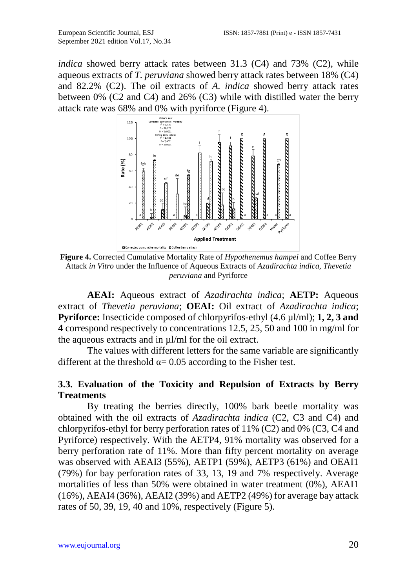*indica* showed berry attack rates between 31.3 (C4) and 73% (C2), while aqueous extracts of *T. peruviana* showed berry attack rates between 18% (C4) and 82.2% (C2). The oil extracts of *A. indica* showed berry attack rates between 0% (C2 and C4) and 26% (C3) while with distilled water the berry attack rate was 68% and 0% with pyriforce (Figure 4).



**Figure 4.** Corrected Cumulative Mortality Rate of *Hypothenemus hampei* and Coffee Berry Attack *in Vitro* under the Influence of Aqueous Extracts of *Azadirachta indica*, *Thevetia peruviana* and Pyriforce

**AEAI:** Aqueous extract of *Azadirachta indica*; **AETP:** Aqueous extract of *Thevetia peruviana*; **OEAI:** Oil extract of *Azadirachta indica*; **Pyriforce:** Insecticide composed of chlorpyrifos-ethyl (4.6 µl/ml); **1, 2, 3 and 4** correspond respectively to concentrations 12.5, 25, 50 and 100 in mg/ml for the aqueous extracts and in µl/ml for the oil extract.

The values with different letters for the same variable are significantly different at the threshold  $\alpha$  = 0.05 according to the Fisher test.

#### **3.3. Evaluation of the Toxicity and Repulsion of Extracts by Berry Treatments**

By treating the berries directly, 100% bark beetle mortality was obtained with the oil extracts of *Azadirachta indica* (C2, C3 and C4) and chlorpyrifos-ethyl for berry perforation rates of 11% (C2) and 0% (C3, C4 and Pyriforce) respectively. With the AETP4, 91% mortality was observed for a berry perforation rate of 11%. More than fifty percent mortality on average was observed with AEAI3 (55%), AETP1 (59%), AETP3 (61%) and OEAI1 (79%) for bay perforation rates of 33, 13, 19 and 7% respectively. Average mortalities of less than 50% were obtained in water treatment (0%), AEAI1 (16%), AEAI4 (36%), AEAI2 (39%) and AETP2 (49%) for average bay attack rates of 50, 39, 19, 40 and 10%, respectively (Figure 5).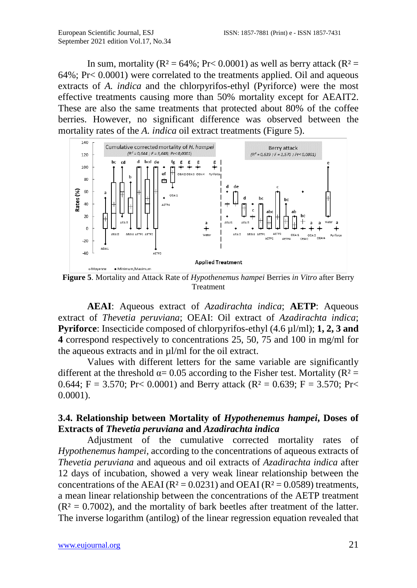In sum, mortality ( $R^2 = 64\%$ ;  $Pr < 0.0001$ ) as well as berry attack ( $R^2 =$ 64%; Pr< 0.0001) were correlated to the treatments applied. Oil and aqueous extracts of *A. indica* and the chlorpyrifos-ethyl (Pyriforce) were the most effective treatments causing more than 50% mortality except for AEAIT2. These are also the same treatments that protected about 80% of the coffee berries. However, no significant difference was observed between the mortality rates of the *A. indica* oil extract treatments (Figure 5).



**Figure 5**. Mortality and Attack Rate of *Hypothenemus hampei* Berries *in Vitro* after Berry Treatment

**AEAI**: Aqueous extract of *Azadirachta indica*; **AETP**: Aqueous extract of *Thevetia peruviana*; OEAI: Oil extract of *Azadirachta indica*; **Pyriforce**: Insecticide composed of chlorpyrifos-ethyl (4.6 µl/ml); **1, 2, 3 and 4** correspond respectively to concentrations 25, 50, 75 and 100 in mg/ml for the aqueous extracts and in µl/ml for the oil extract.

Values with different letters for the same variable are significantly different at the threshold  $\alpha$  = 0.05 according to the Fisher test. Mortality (R<sup>2</sup> = 0.644; F = 3.570; Pr< 0.0001) and Berry attack ( $R^2 = 0.639$ ; F = 3.570; Pr< 0.0001).

#### **3.4. Relationship between Mortality of** *Hypothenemus hampei***, Doses of Extracts of** *Thevetia peruviana* **and** *Azadirachta indica*

Adjustment of the cumulative corrected mortality rates of *Hypothenemus hampei*, according to the concentrations of aqueous extracts of *Thevetia peruviana* and aqueous and oil extracts of *Azadirachta indica* after 12 days of incubation, showed a very weak linear relationship between the concentrations of the AEAI ( $R^2 = 0.0231$ ) and OEAI ( $R^2 = 0.0589$ ) treatments, a mean linear relationship between the concentrations of the AETP treatment  $(R<sup>2</sup> = 0.7002)$ , and the mortality of bark beetles after treatment of the latter. The inverse logarithm (antilog) of the linear regression equation revealed that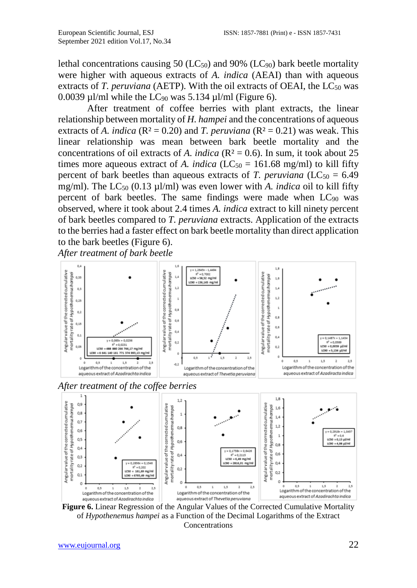lethal concentrations causing 50 ( $LC_{50}$ ) and 90% ( $LC_{90}$ ) bark beetle mortality were higher with aqueous extracts of *A. indica* (AEAI) than with aqueous extracts of *T. peruviana* (AETP). With the oil extracts of OEAI, the  $LC_{50}$  was 0.0039  $\mu$ l/ml while the LC<sub>90</sub> was 5.134  $\mu$ l/ml (Figure 6).

After treatment of coffee berries with plant extracts, the linear relationship between mortality of *H. hampei* and the concentrations of aqueous extracts of *A. indica* ( $R^2 = 0.20$ ) and *T. peruviana* ( $R^2 = 0.21$ ) was weak. This linear relationship was mean between bark beetle mortality and the concentrations of oil extracts of *A. indica* ( $R^2 = 0.6$ ). In sum, it took about 25 times more aqueous extract of *A. indica* ( $LC_{50} = 161.68$  mg/ml) to kill fifty percent of bark beetles than aqueous extracts of *T. peruviana* ( $LC_{50} = 6.49$ ) mg/ml). The LC<sub>50</sub> (0.13  $\mu$ l/ml) was even lower with *A. indica* oil to kill fifty percent of bark beetles. The same findings were made when  $LC_{90}$  was observed, where it took about 2.4 times *A. indica* extract to kill ninety percent of bark beetles compared to *T. peruviana* extracts. Application of the extracts to the berries had a faster effect on bark beetle mortality than direct application to the bark beetles (Figure 6).

*After treatment of bark beetle*



*After treatment of the coffee berries*



**Figure 6.** Linear Regression of the Angular Values of the Corrected Cumulative Mortality of *Hypothenemus hampei* as a Function of the Decimal Logarithms of the Extract Concentrations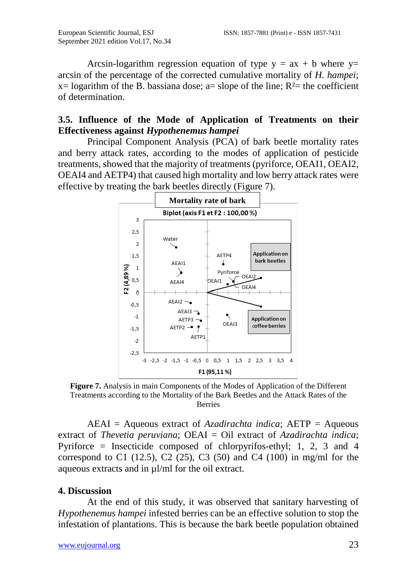Arcsin-logarithm regression equation of type  $y = ax + b$  where  $y=$ arcsin of the percentage of the corrected cumulative mortality of *H. hampei*;  $x=$  logarithm of the B. bassiana dose; a= slope of the line;  $R<sup>2</sup>=$  the coefficient of determination.

### **3.5. Influence of the Mode of Application of Treatments on their Effectiveness against** *Hypothenemus hampei*

Principal Component Analysis (PCA) of bark beetle mortality rates and berry attack rates, according to the modes of application of pesticide treatments, showed that the majority of treatments (pyriforce, OEAI1, OEAI2, OEAI4 and AETP4) that caused high mortality and low berry attack rates were effective by treating the bark beetles directly (Figure 7).



**Figure 7.** Analysis in main Components of the Modes of Application of the Different Treatments according to the Mortality of the Bark Beetles and the Attack Rates of the Berries

AEAI = Aqueous extract of *Azadirachta indica*; AETP = Aqueous extract of *Thevetia peruviana*; OEAI = Oil extract of *Azadirachta indica*; Pyriforce = Insecticide composed of chlorpyrifos-ethyl; 1, 2, 3 and 4 correspond to C1 (12.5), C2 (25), C3 (50) and C4 (100) in mg/ml for the aqueous extracts and in µl/ml for the oil extract.

## **4. Discussion**

At the end of this study, it was observed that sanitary harvesting of *Hypothenemus hampei* infested berries can be an effective solution to stop the infestation of plantations. This is because the bark beetle population obtained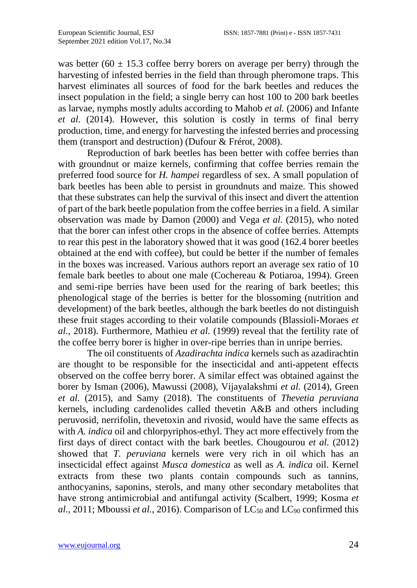was better (60  $\pm$  15.3 coffee berry borers on average per berry) through the harvesting of infested berries in the field than through pheromone traps. This harvest eliminates all sources of food for the bark beetles and reduces the insect population in the field; a single berry can host 100 to 200 bark beetles as larvae, nymphs mostly adults according to Mahob *et al.* (2006) and Infante *et al.* (2014). However, this solution is costly in terms of final berry production, time, and energy for harvesting the infested berries and processing them (transport and destruction) (Dufour & Frérot, 2008).

Reproduction of bark beetles has been better with coffee berries than with groundnut or maize kernels, confirming that coffee berries remain the preferred food source for *H. hampei* regardless of sex. A small population of bark beetles has been able to persist in groundnuts and maize. This showed that these substrates can help the survival of this insect and divert the attention of part of the bark beetle population from the coffee berries in a field. A similar observation was made by Damon (2000) and Vega *et al.* (2015), who noted that the borer can infest other crops in the absence of coffee berries. Attempts to rear this pest in the laboratory showed that it was good (162.4 borer beetles obtained at the end with coffee), but could be better if the number of females in the boxes was increased. Various authors report an average sex ratio of 10 female bark beetles to about one male (Cochereau & Potiaroa, 1994). Green and semi-ripe berries have been used for the rearing of bark beetles; this phenological stage of the berries is better for the blossoming (nutrition and development) of the bark beetles, although the bark beetles do not distinguish these fruit stages according to their volatile compounds (Blassioli-Moraes *et al.*, 2018). Furthermore, Mathieu *et al.* (1999) reveal that the fertility rate of the coffee berry borer is higher in over-ripe berries than in unripe berries.

The oil constituents of *Azadirachta indica* kernels such as azadirachtin are thought to be responsible for the insecticidal and anti-appetent effects observed on the coffee berry borer. A similar effect was obtained against the borer by Isman (2006), Mawussi (2008), Vijayalakshmi *et al.* (2014), Green *et al.* (2015), and Samy (2018). The constituents of *Thevetia peruviana* kernels, including cardenolides called thevetin A&B and others including peruvosid, nerrifolin, thevetoxin and rivosid, would have the same effects as with *A. indica* oil and chlorpyriphos-ethyl. They act more effectively from the first days of direct contact with the bark beetles. Chougourou *et al.* (2012) showed that *T. peruviana* kernels were very rich in oil which has an insecticidal effect against *Musca domestica* as well as *A. indica* oil. Kernel extracts from these two plants contain compounds such as tannins, anthocyanins, saponins, sterols, and many other secondary metabolites that have strong antimicrobial and antifungal activity (Scalbert, 1999; Kosma *et*   $al.$ , 2011; Mboussi *et al.*, 2016). Comparison of  $LC_{50}$  and  $LC_{90}$  confirmed this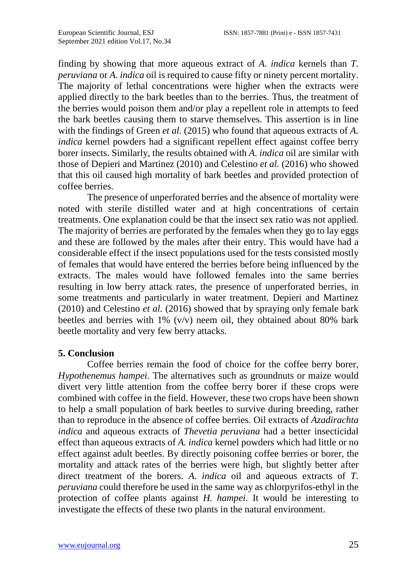finding by showing that more aqueous extract of *A. indica* kernels than *T. peruviana* or *A. indica* oil is required to cause fifty or ninety percent mortality. The majority of lethal concentrations were higher when the extracts were applied directly to the bark beetles than to the berries. Thus, the treatment of the berries would poison them and/or play a repellent role in attempts to feed the bark beetles causing them to starve themselves. This assertion is in line with the findings of Green *et al.* (2015) who found that aqueous extracts of *A. indica* kernel powders had a significant repellent effect against coffee berry borer insects. Similarly, the results obtained with *A. indica* oil are similar with those of Depieri and Martinez (2010) and Celestino *et al.* (2016) who showed that this oil caused high mortality of bark beetles and provided protection of coffee berries.

The presence of unperforated berries and the absence of mortality were noted with sterile distilled water and at high concentrations of certain treatments. One explanation could be that the insect sex ratio was not applied. The majority of berries are perforated by the females when they go to lay eggs and these are followed by the males after their entry. This would have had a considerable effect if the insect populations used for the tests consisted mostly of females that would have entered the berries before being influenced by the extracts. The males would have followed females into the same berries resulting in low berry attack rates, the presence of unperforated berries, in some treatments and particularly in water treatment. Depieri and Martinez (2010) and Celestino *et al.* (2016) showed that by spraying only female bark beetles and berries with 1% (v/v) neem oil, they obtained about 80% bark beetle mortality and very few berry attacks.

#### **5. Conclusion**

Coffee berries remain the food of choice for the coffee berry borer, *Hypothenemus hampei*. The alternatives such as groundnuts or maize would divert very little attention from the coffee berry borer if these crops were combined with coffee in the field. However, these two crops have been shown to help a small population of bark beetles to survive during breeding, rather than to reproduce in the absence of coffee berries. Oil extracts of *Azadirachta indica* and aqueous extracts of *Thevetia peruviana* had a better insecticidal effect than aqueous extracts of *A. indica* kernel powders which had little or no effect against adult beetles. By directly poisoning coffee berries or borer, the mortality and attack rates of the berries were high, but slightly better after direct treatment of the borers. *A. indica* oil and aqueous extracts of *T. peruviana* could therefore be used in the same way as chlorpyrifos-ethyl in the protection of coffee plants against *H. hampei*. It would be interesting to investigate the effects of these two plants in the natural environment.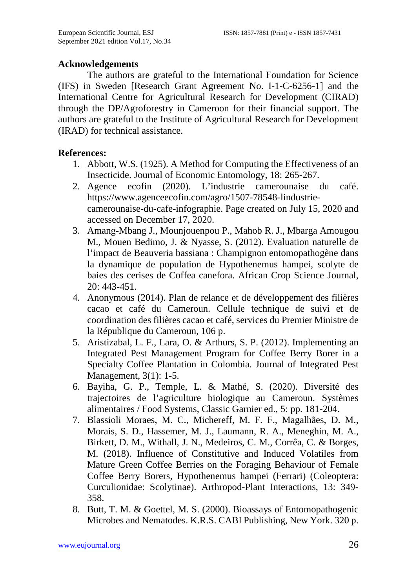#### **Acknowledgements**

The authors are grateful to the International Foundation for Science (IFS) in Sweden [Research Grant Agreement No. I-1-C-6256-1] and the International Centre for Agricultural Research for Development (CIRAD) through the DP/Agroforestry in Cameroon for their financial support. The authors are grateful to the Institute of Agricultural Research for Development (IRAD) for technical assistance.

#### **References:**

- 1. Abbott, W.S. (1925). A Method for Computing the Effectiveness of an Insecticide. Journal of Economic Entomology, 18: 265-267.
- 2. Agence ecofin (2020). L'industrie camerounaise du café. https://www.agenceecofin.com/agro/1507-78548-lindustriecamerounaise-du-cafe-infographie. Page created on July 15, 2020 and accessed on December 17, 2020.
- 3. Amang-Mbang J., Mounjouenpou P., Mahob R. J., Mbarga Amougou M., Mouen Bedimo, J. & Nyasse, S. (2012). Evaluation naturelle de l'impact de Beauveria bassiana : Champignon entomopathogène dans la dynamique de population de Hypothenemus hampei, scolyte de baies des cerises de Coffea canefora. African Crop Science Journal, 20: 443-451.
- 4. Anonymous (2014). Plan de relance et de développement des filières cacao et café du Cameroun. Cellule technique de suivi et de coordination des filières cacao et café, services du Premier Ministre de la République du Cameroun, 106 p.
- 5. Aristizabal, L. F., Lara, O. & Arthurs, S. P. (2012). Implementing an Integrated Pest Management Program for Coffee Berry Borer in a Specialty Coffee Plantation in Colombia. Journal of Integrated Pest Management, 3(1): 1-5.
- 6. Bayiha, G. P., Temple, L. & Mathé, S. (2020). Diversité des trajectoires de l'agriculture biologique au Cameroun. Systèmes alimentaires / Food Systems, Classic Garnier ed., 5: pp. 181-204.
- 7. Blassioli Moraes, M. C., Michereff, M. F. F., Magalhães, D. M., Morais, S. D., Hassemer, M. J., Laumann, R. A., Meneghin, M. A., Birkett, D. M., Withall, J. N., Medeiros, C. M., Corrêa, C. & Borges, M. (2018). Influence of Constitutive and Induced Volatiles from Mature Green Coffee Berries on the Foraging Behaviour of Female Coffee Berry Borers, Hypothenemus hampei (Ferrari) (Coleoptera: Curculionidae: Scolytinae). Arthropod-Plant Interactions, 13: 349- 358.
- 8. Butt, T. M. & Goettel, M. S. (2000). Bioassays of Entomopathogenic Microbes and Nematodes. K.R.S. CABI Publishing, New York. 320 p.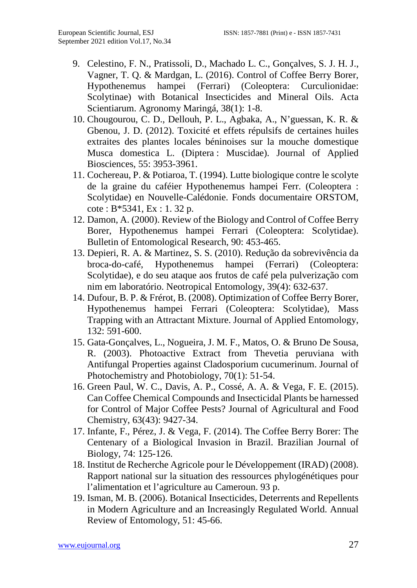- 9. Celestino, F. N., Pratissoli, D., Machado L. C., Gonçalves, S. J. H. J., Vagner, T. Q. & Mardgan, L. (2016). Control of Coffee Berry Borer, Hypothenemus hampei (Ferrari) (Coleoptera: Curculionidae: Scolytinae) with Botanical Insecticides and Mineral Oils. Acta Scientiarum. Agronomy Maringá, 38(1): 1-8.
- 10. Chougourou, C. D., Dellouh, P. L., Agbaka, A., N'guessan, K. R. & Gbenou, J. D. (2012). Toxicité et effets répulsifs de certaines huiles extraites des plantes locales béninoises sur la mouche domestique Musca domestica L. (Diptera : Muscidae). Journal of Applied Biosciences, 55: 3953-3961.
- 11. Cochereau, P. & Potiaroa, T. (1994). Lutte biologique contre le scolyte de la graine du caféier Hypothenemus hampei Ferr. (Coleoptera : Scolytidae) en Nouvelle-Calédonie. Fonds documentaire ORSTOM, cote : B\*5341, Ex : 1. 32 p.
- 12. Damon, A. (2000). Review of the Biology and Control of Coffee Berry Borer, Hypothenemus hampei Ferrari (Coleoptera: Scolytidae). Bulletin of Entomological Research, 90: 453-465.
- 13. Depieri, R. A. & Martinez, S. S. (2010). Redução da sobrevivência da broca-do-café, Hypothenemus hampei (Ferrari) (Coleoptera: Scolytidae), e do seu ataque aos frutos de café pela pulverização com nim em laboratório. Neotropical Entomology, 39(4): 632-637.
- 14. Dufour, B. P. & Frérot, B. (2008). Optimization of Coffee Berry Borer, Hypothenemus hampei Ferrari (Coleoptera: Scolytidae), Mass Trapping with an Attractant Mixture. Journal of Applied Entomology, 132: 591-600.
- 15. Gata-Gonçalves, L., Nogueira, J. M. F., Matos, O. & Bruno De Sousa, R. (2003). Photoactive Extract from Thevetia peruviana with Antifungal Properties against Cladosporium cucumerinum. Journal of Photochemistry and Photobiology, 70(1): 51-54.
- 16. Green Paul, W. C., Davis, A. P., Cossé, A. A. & Vega, F. E. (2015). Can Coffee Chemical Compounds and Insecticidal Plants be harnessed for Control of Major Coffee Pests? Journal of Agricultural and Food Chemistry, 63(43): 9427-34.
- 17. Infante, F., Pérez, J. & Vega, F. (2014). The Coffee Berry Borer: The Centenary of a Biological Invasion in Brazil. Brazilian Journal of Biology, 74: 125-126.
- 18. Institut de Recherche Agricole pour le Développement (IRAD) (2008). Rapport national sur la situation des ressources phylogénétiques pour l'alimentation et l'agriculture au Cameroun. 93 p.
- 19. Isman, M. B. (2006). Botanical Insecticides, Deterrents and Repellents in Modern Agriculture and an Increasingly Regulated World. Annual Review of Entomology, 51: 45-66.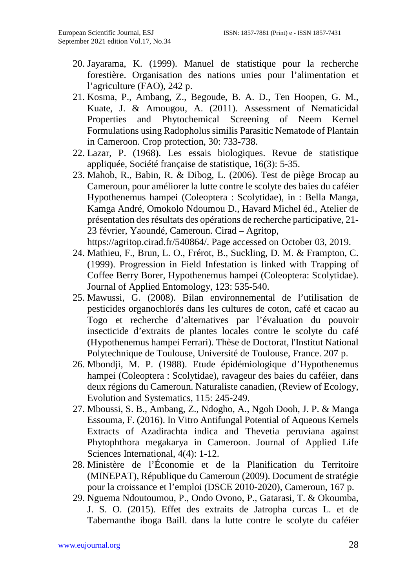- 20. Jayarama, K. (1999). Manuel de statistique pour la recherche forestière. Organisation des nations unies pour l'alimentation et l'agriculture (FAO), 242 p.
- 21. Kosma, P., Ambang, Z., Begoude, B. A. D., Ten Hoopen, G. M., Kuate, J. & Amougou, A. (2011). Assessment of Nematicidal Properties and Phytochemical Screening of Neem Kernel Formulations using Radopholus similis Parasitic Nematode of Plantain in Cameroon. Crop protection, 30: 733-738.
- 22. Lazar, P. (1968). Les essais biologiques. Revue de statistique appliquée, Société française de statistique, 16(3): 5-35.
- 23. Mahob, R., Babin, R. & Dibog, L. (2006). Test de piège Brocap au Cameroun, pour améliorer la lutte contre le scolyte des baies du caféier Hypothenemus hampei (Coleoptera : Scolytidae), in : Bella Manga, Kamga André, Omokolo Ndoumou D., Havard Michel éd., Atelier de présentation des résultats des opérations de recherche participative, 21- 23 février, Yaoundé, Cameroun. Cirad – Agritop, [https://agritop.cirad.fr/540864/.](https://agritop.cirad.fr/540864/) Page accessed on October 03, 2019.
- 24. Mathieu, F., Brun, L. O., Frérot, B., Suckling, D. M. & Frampton, C. (1999). Progression in Field Infestation is linked with Trapping of Coffee Berry Borer, Hypothenemus hampei (Coleoptera: Scolytidae). Journal of Applied Entomology, 123: 535-540.
- 25. Mawussi, G. (2008). Bilan environnemental de l'utilisation de pesticides organochlorés dans les cultures de coton, café et cacao au Togo et recherche d'alternatives par l'évaluation du pouvoir insecticide d'extraits de plantes locales contre le scolyte du café (Hypothenemus hampei Ferrari). Thèse de Doctorat, l'Institut National Polytechnique de Toulouse, Université de Toulouse, France. 207 p.
- 26. Mbondji, M. P. (1988). Etude épidémiologique d'Hypothenemus hampei (Coleoptera : Scolytidae), ravageur des baies du caféier, dans deux régions du Cameroun. Naturaliste canadien, (Review of Ecology, Evolution and Systematics, 115: 245-249.
- 27. Mboussi, S. B., Ambang, Z., Ndogho, A., Ngoh Dooh, J. P. & Manga Essouma, F. (2016). In Vitro Antifungal Potential of Aqueous Kernels Extracts of Azadirachta indica and Thevetia peruviana against Phytophthora megakarya in Cameroon. Journal of Applied Life Sciences International, 4(4): 1-12.
- 28. Ministère de l'Économie et de la Planification du Territoire (MINEPAT), République du Cameroun (2009). Document de stratégie pour la croissance et l'emploi (DSCE 2010-2020), Cameroun, 167 p.
- 29. Nguema Ndoutoumou, P., Ondo Ovono, P., Gatarasi, T. & Okoumba, J. S. O. (2015). Effet des extraits de Jatropha curcas L. et de Tabernanthe iboga Baill. dans la lutte contre le scolyte du caféier